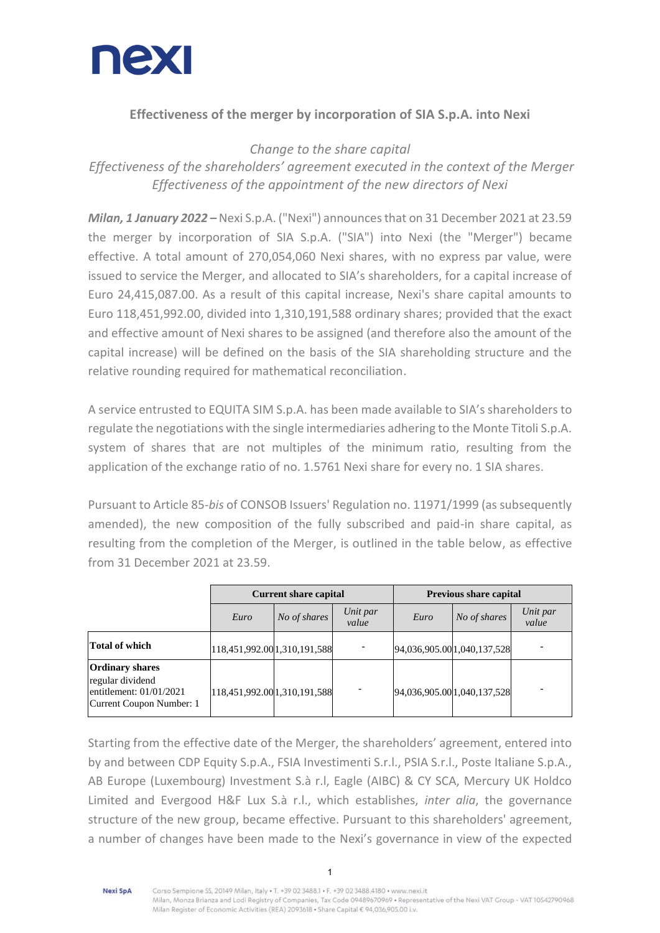

## **Effectiveness of the merger by incorporation of SIA S.p.A. into Nexi**

*Change to the share capital Effectiveness of the shareholders' agreement executed in the context of the Merger Effectiveness of the appointment of the new directors of Nexi*

*Milan, 1 January 2022 –* Nexi S.p.A. ("Nexi") announces that on 31 December 2021 at 23.59 the merger by incorporation of SIA S.p.A. ("SIA") into Nexi (the "Merger") became effective. A total amount of 270,054,060 Nexi shares, with no express par value, were issued to service the Merger, and allocated to SIA's shareholders, for a capital increase of Euro 24,415,087.00. As a result of this capital increase, Nexi's share capital amounts to Euro 118,451,992.00, divided into 1,310,191,588 ordinary shares; provided that the exact and effective amount of Nexi shares to be assigned (and therefore also the amount of the capital increase) will be defined on the basis of the SIA shareholding structure and the relative rounding required for mathematical reconciliation.

A service entrusted to EQUITA SIM S.p.A. has been made available to SIA's shareholders to regulate the negotiations with the single intermediaries adhering to the Monte Titoli S.p.A. system of shares that are not multiples of the minimum ratio, resulting from the application of the exchange ratio of no. 1.5761 Nexi share for every no. 1 SIA shares.

Pursuant to Article 85-*bis* of CONSOB Issuers' Regulation no. 11971/1999 (as subsequently amended), the new composition of the fully subscribed and paid-in share capital, as resulting from the completion of the Merger, is outlined in the table below, as effective from 31 December 2021 at 23.59.

|                                                                                                     | <b>Current share capital</b> |              |                   | <b>Previous share capital</b> |              |                   |
|-----------------------------------------------------------------------------------------------------|------------------------------|--------------|-------------------|-------------------------------|--------------|-------------------|
|                                                                                                     | Euro                         | No of shares | Unit par<br>value | Euro                          | No of shares | Unit par<br>value |
| <b>Total of which</b>                                                                               | 118,451,992.00 1,310,191,588 |              |                   | 94,036,905.00 1,040,137,528   |              |                   |
| <b>Ordinary shares</b><br>regular dividend<br>entitlement: $01/01/2021$<br>Current Coupon Number: 1 | 118,451,992.00 1,310,191,588 |              |                   | 94,036,905.00 1,040,137,528   |              |                   |

Starting from the effective date of the Merger, the shareholders' agreement, entered into by and between CDP Equity S.p.A., FSIA Investimenti S.r.l., PSIA S.r.l., Poste Italiane S.p.A., AB Europe (Luxembourg) Investment S.à r.l, Eagle (AIBC) & CY SCA, Mercury UK Holdco Limited and Evergood H&F Lux S.à r.l., which establishes, *inter alia*, the governance structure of the new group, became effective. Pursuant to this shareholders' agreement, a number of changes have been made to the Nexi's governance in view of the expected

Nexi SpA